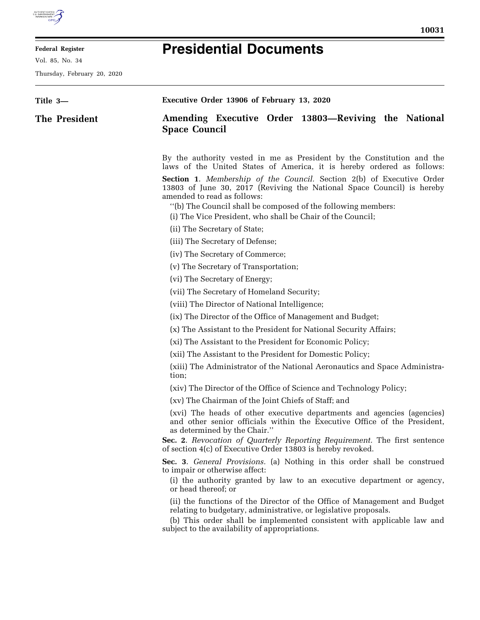

E

## **Federal Register**

Vol. 85, No. 34

Thursday, February 20, 2020

| Title 3-      | Executive Order 13906 of February 13, 2020                                                                                                                                                                                                                                |
|---------------|---------------------------------------------------------------------------------------------------------------------------------------------------------------------------------------------------------------------------------------------------------------------------|
| The President | Amending Executive Order 13803—Reviving the National<br><b>Space Council</b>                                                                                                                                                                                              |
|               | By the authority vested in me as President by the Constitution and the<br>laws of the United States of America, it is hereby ordered as follows:                                                                                                                          |
|               | <b>Section 1.</b> Membership of the Council. Section 2(b) of Executive Order<br>13803 of June 30, 2017 (Reviving the National Space Council) is hereby<br>amended to read as follows:                                                                                     |
|               | "(b) The Council shall be composed of the following members:<br>(i) The Vice President, who shall be Chair of the Council;                                                                                                                                                |
|               | (ii) The Secretary of State;                                                                                                                                                                                                                                              |
|               | (iii) The Secretary of Defense;                                                                                                                                                                                                                                           |
|               | (iv) The Secretary of Commerce;                                                                                                                                                                                                                                           |
|               | (v) The Secretary of Transportation;                                                                                                                                                                                                                                      |
|               | (vi) The Secretary of Energy;                                                                                                                                                                                                                                             |
|               | (vii) The Secretary of Homeland Security;                                                                                                                                                                                                                                 |
|               | (viii) The Director of National Intelligence;                                                                                                                                                                                                                             |
|               | (ix) The Director of the Office of Management and Budget;                                                                                                                                                                                                                 |
|               | (x) The Assistant to the President for National Security Affairs;                                                                                                                                                                                                         |
|               | (xi) The Assistant to the President for Economic Policy;                                                                                                                                                                                                                  |
|               | (xii) The Assistant to the President for Domestic Policy;                                                                                                                                                                                                                 |
|               | (xiii) The Administrator of the National Aeronautics and Space Administra-<br>tion;                                                                                                                                                                                       |
|               | (xiv) The Director of the Office of Science and Technology Policy;                                                                                                                                                                                                        |
|               | (xv) The Chairman of the Joint Chiefs of Staff; and                                                                                                                                                                                                                       |
|               | (xvi) The heads of other executive departments and agencies (agencies)<br>and other senior officials within the Executive Office of the President,<br>as determined by the Chair."                                                                                        |
|               | Sec. 2. Revocation of Quarterly Reporting Requirement. The first sentence<br>of section 4(c) of Executive Order 13803 is hereby revoked.                                                                                                                                  |
|               | Sec. 3. General Provisions. (a) Nothing in this order shall be construed<br>to impair or otherwise affect:<br>(i) the authority granted by law to an executive department or agency,<br>or head thereof; or                                                               |
|               | (ii) the functions of the Director of the Office of Management and Budget<br>relating to budgetary, administrative, or legislative proposals.<br>(b) This order shall be implemented consistent with applicable law and<br>subject to the availability of appropriations. |
|               |                                                                                                                                                                                                                                                                           |

## **Presidential Documents**